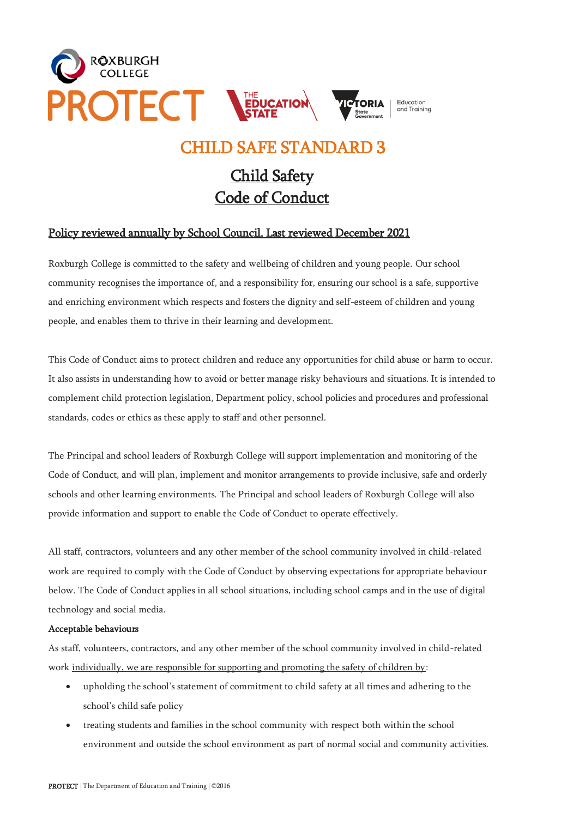

## CHILD SAFE STANDARD 3

# Child Safety Code of Conduct

## Policy reviewed annually by School Council. Last reviewed December 2021

Roxburgh College is committed to the safety and wellbeing of children and young people. Our school community recognises the importance of, and a responsibility for, ensuring our school is a safe, supportive and enriching environment which respects and fosters the dignity and self-esteem of children and young people, and enables them to thrive in their learning and development.

This Code of Conduct aims to protect children and reduce any opportunities for child abuse or harm to occur. It also assists in understanding how to avoid or better manage risky behaviours and situations. It is intended to complement child protection legislation, Department policy, school policies and procedures and professional standards, codes or ethics as these apply to staff and other personnel.

The Principal and school leaders of Roxburgh College will support implementation and monitoring of the Code of Conduct, and will plan, implement and monitor arrangements to provide inclusive, safe and orderly schools and other learning environments. The Principal and school leaders of Roxburgh College will also provide information and support to enable the Code of Conduct to operate effectively.

All staff, contractors, volunteers and any other member of the school community involved in child-related work are required to comply with the Code of Conduct by observing expectations for appropriate behaviour below. The Code of Conduct applies in all school situations, including school camps and in the use of digital technology and social media.

#### Acceptable behaviours

As staff, volunteers, contractors, and any other member of the school community involved in child-related work individually, we are responsible for supporting and promoting the safety of children by:

- upholding the school's statement of commitment to child safety at all times and adhering to the school's child safe policy
- treating students and families in the school community with respect both within the school environment and outside the school environment as part of normal social and community activities.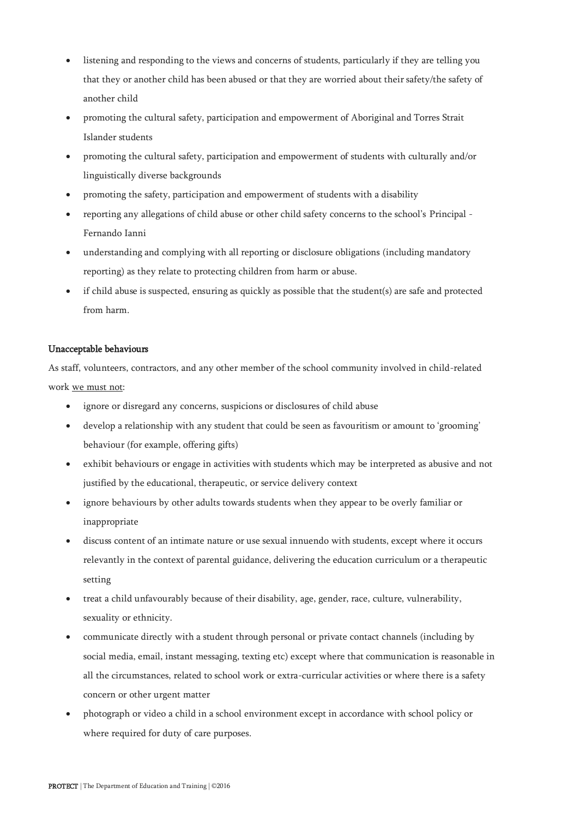- listening and responding to the views and concerns of students, particularly if they are telling you that they or another child has been abused or that they are worried about their safety/the safety of another child
- promoting the cultural safety, participation and empowerment of Aboriginal and Torres Strait Islander students
- promoting the cultural safety, participation and empowerment of students with culturally and/or linguistically diverse backgrounds
- promoting the safety, participation and empowerment of students with a disability
- reporting any allegations of child abuse or other child safety concerns to the school's Principal Fernando Ianni
- understanding and complying with all reporting or disclosure obligations (including mandatory reporting) as they relate to protecting children from harm or abuse.
- if child abuse is suspected, ensuring as quickly as possible that the student(s) are safe and protected from harm.

### Unacceptable behaviours

As staff, volunteers, contractors, and any other member of the school community involved in child-related work we must not:

- ignore or disregard any concerns, suspicions or disclosures of child abuse
- develop a relationship with any student that could be seen as favouritism or amount to 'grooming' behaviour (for example, offering gifts)
- exhibit behaviours or engage in activities with students which may be interpreted as abusive and not justified by the educational, therapeutic, or service delivery context
- ignore behaviours by other adults towards students when they appear to be overly familiar or inappropriate
- discuss content of an intimate nature or use sexual innuendo with students, except where it occurs relevantly in the context of parental guidance, delivering the education curriculum or a therapeutic setting
- treat a child unfavourably because of their disability, age, gender, race, culture, vulnerability, sexuality or ethnicity.
- communicate directly with a student through personal or private contact channels (including by social media, email, instant messaging, texting etc) except where that communication is reasonable in all the circumstances, related to school work or extra-curricular activities or where there is a safety concern or other urgent matter
- photograph or video a child in a school environment except in accordance with school policy or where required for duty of care purposes.